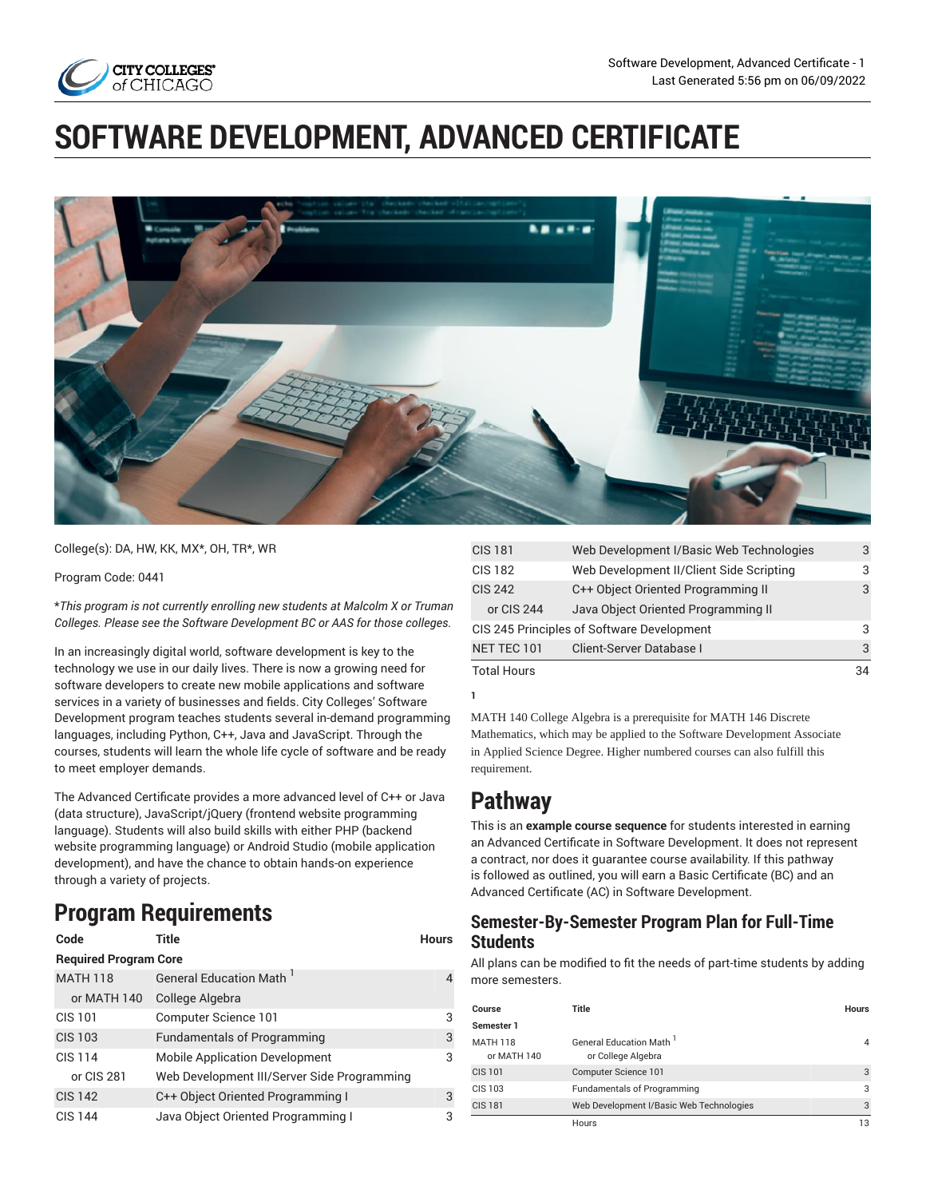

# **SOFTWARE DEVELOPMENT, ADVANCED CERTIFICATE**



College(s): DA, HW, KK, MX\*, OH, TR\*, WR

Program Code: 0441

\**This program is not currently enrolling new students at Malcolm X or Truman Colleges. Please see the Software Development BC or AAS for those colleges.*

In an increasingly digital world, software development is key to the technology we use in our daily lives. There is now a growing need for software developers to create new mobile applications and software services in a variety of businesses and fields. City Colleges' Software Development program teaches students several in-demand programming languages, including Python, C++, Java and JavaScript. Through the courses, students will learn the whole life cycle of software and be ready to meet employer demands.

The Advanced Certificate provides a more advanced level of C++ or Java (data structure), JavaScript/jQuery (frontend website programming language). Students will also build skills with either PHP (backend website programming language) or Android Studio (mobile application development), and have the chance to obtain hands-on experience through a variety of projects.

# **Program Requirements**

| Code                         | Title                                       | <b>Hours</b> |
|------------------------------|---------------------------------------------|--------------|
| <b>Required Program Core</b> |                                             |              |
| <b>MATH 118</b>              | General Education Math                      |              |
| or MATH 140                  | College Algebra                             |              |
| <b>CIS 101</b>               | Computer Science 101                        | 3            |
| <b>CIS 103</b>               | <b>Fundamentals of Programming</b>          | 3            |
| <b>CIS 114</b>               | <b>Mobile Application Development</b>       | 3            |
| or CIS 281                   | Web Development III/Server Side Programming |              |
| <b>CIS 142</b>               | C++ Object Oriented Programming I           | 3            |
| CIS 144                      | Java Object Oriented Programming I          | 3            |

| <b>CIS 181</b>     | Web Development I/Basic Web Technologies   | 3  |
|--------------------|--------------------------------------------|----|
| <b>CIS 182</b>     | Web Development II/Client Side Scripting   | З  |
| <b>CIS 242</b>     | C++ Object Oriented Programming II         | 3  |
| or CIS 244         | Java Object Oriented Programming II        |    |
|                    | CIS 245 Principles of Software Development | 3  |
| NET TEC 101        | Client-Server Database I                   | 3  |
| <b>Total Hours</b> |                                            | 34 |

MATH 140 College Algebra is a prerequisite for MATH 146 Discrete Mathematics, which may be applied to the Software Development Associate in Applied Science Degree. Higher numbered courses can also fulfill this requirement.

# **Pathway**

**1**

This is an **example course sequence** for students interested in earning an Advanced Certificate in Software Development. It does not represent a contract, nor does it guarantee course availability. If this pathway is followed as outlined, you will earn a Basic Certificate (BC) and an Advanced Certificate (AC) in Software Development.

### **Semester-By-Semester Program Plan for Full-Time Students**

All plans can be modified to fit the needs of part-time students by adding more semesters.

| Course                         | Title                                                     | <b>Hours</b> |
|--------------------------------|-----------------------------------------------------------|--------------|
| Semester 1                     |                                                           |              |
| <b>MATH 118</b><br>or MATH 140 | General Education Math <sup>1</sup><br>or College Algebra |              |
| CIS 101                        | Computer Science 101                                      | 3            |
| CIS 103                        | <b>Fundamentals of Programming</b>                        | 3            |
| <b>CIS 181</b>                 | Web Development I/Basic Web Technologies                  | 3            |
|                                | Hours                                                     | 13           |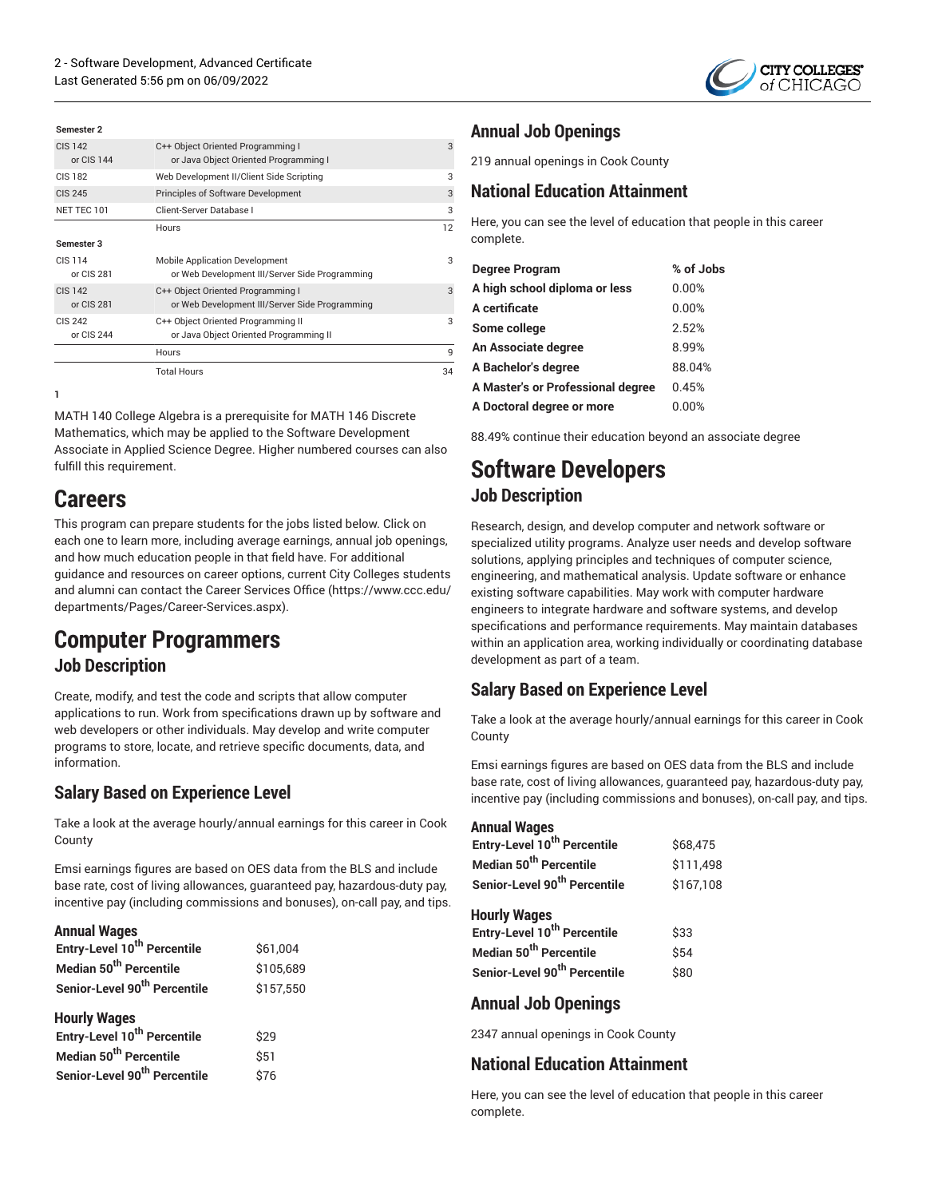

| Semester 2                   |                                                                                         |    |
|------------------------------|-----------------------------------------------------------------------------------------|----|
| CIS 142<br>or $CIS$ 144      | C++ Object Oriented Programming I<br>or Java Object Oriented Programming I              | 3  |
| CIS 182                      | Web Development II/Client Side Scripting                                                | 3  |
| <b>CIS 245</b>               | <b>Principles of Software Development</b>                                               | 3  |
| NET TEC 101                  | Client-Server Database I                                                                | 3  |
|                              | <b>Hours</b>                                                                            | 12 |
| Semester 3                   |                                                                                         |    |
| CIS 114<br>or CIS 281        | <b>Mobile Application Development</b><br>or Web Development III/Server Side Programming | 3  |
| <b>CIS 142</b><br>or CIS 281 | C++ Object Oriented Programming I<br>or Web Development III/Server Side Programming     | 3  |
| CIS 242<br>or CIS 244        | C++ Object Oriented Programming II<br>or Java Object Oriented Programming II            | 3  |
|                              | Hours                                                                                   | 9  |
|                              | <b>Total Hours</b>                                                                      | 34 |

**1**

MATH 140 College Algebra is a prerequisite for MATH 146 Discrete Mathematics, which may be applied to the Software Development Associate in Applied Science Degree. Higher numbered courses can also fulfill this requirement.

# **Careers**

This program can prepare students for the jobs listed below. Click on each one to learn more, including average earnings, annual job openings, and how much education people in that field have. For additional guidance and resources on career options, current City Colleges students and alumni can contact the Career [Services](https://www.ccc.edu/departments/Pages/Career-Services.aspx) Office ([https://www.ccc.edu/](https://www.ccc.edu/departments/Pages/Career-Services.aspx) [departments/Pages/Career-Services.aspx](https://www.ccc.edu/departments/Pages/Career-Services.aspx)).

# **Computer Programmers**

### **Job Description**

Create, modify, and test the code and scripts that allow computer applications to run. Work from specifications drawn up by software and web developers or other individuals. May develop and write computer programs to store, locate, and retrieve specific documents, data, and information.

### **Salary Based on Experience Level**

Take a look at the average hourly/annual earnings for this career in Cook County

Emsi earnings figures are based on OES data from the BLS and include base rate, cost of living allowances, guaranteed pay, hazardous-duty pay, incentive pay (including commissions and bonuses), on-call pay, and tips.

#### **Annual Wages**

| Entry-Level 10 <sup>th</sup> Percentile  | \$61,004  |
|------------------------------------------|-----------|
| Median 50 <sup>th</sup> Percentile       | \$105,689 |
| Senior-Level 90 <sup>th</sup> Percentile | \$157.550 |
| <b>Hourly Wages</b>                      |           |
| Entry-Level 10 <sup>th</sup> Percentile  | \$29      |
| Median 50 <sup>th</sup> Percentile       | \$51      |
| Senior-Level 90 <sup>th</sup> Percentile | \$76      |

## **Annual Job Openings**

219 annual openings in Cook County

## **National Education Attainment**

Here, you can see the level of education that people in this career complete.

| <b>Degree Program</b>             | % of Jobs |
|-----------------------------------|-----------|
| A high school diploma or less     | 0.00%     |
| A certificate                     | 0.00%     |
| Some college                      | 2.52%     |
| An Associate degree               | 8.99%     |
| A Bachelor's degree               | 88.04%    |
| A Master's or Professional degree | 0.45%     |
| A Doctoral degree or more         | $0.00\%$  |

88.49% continue their education beyond an associate degree

# **Software Developers Job Description**

Research, design, and develop computer and network software or specialized utility programs. Analyze user needs and develop software solutions, applying principles and techniques of computer science, engineering, and mathematical analysis. Update software or enhance existing software capabilities. May work with computer hardware engineers to integrate hardware and software systems, and develop specifications and performance requirements. May maintain databases within an application area, working individually or coordinating database development as part of a team.

# **Salary Based on Experience Level**

Take a look at the average hourly/annual earnings for this career in Cook County

Emsi earnings figures are based on OES data from the BLS and include base rate, cost of living allowances, guaranteed pay, hazardous-duty pay, incentive pay (including commissions and bonuses), on-call pay, and tips.

#### **Annual Wages**

| Entry-Level 10 <sup>th</sup> Percentile  | \$68,475  |
|------------------------------------------|-----------|
| Median 50 <sup>th</sup> Percentile       | \$111,498 |
| Senior-Level 90 <sup>th</sup> Percentile | \$167,108 |
| <b>Hourly Wages</b>                      |           |
| Entry-Level 10 <sup>th</sup> Percentile  | \$33      |
| Median 50 <sup>th</sup> Percentile       | \$54      |
| Senior-Level 90 <sup>th</sup> Percentile | \$80      |
|                                          |           |

#### **Annual Job Openings**

2347 annual openings in Cook County

### **National Education Attainment**

Here, you can see the level of education that people in this career complete.